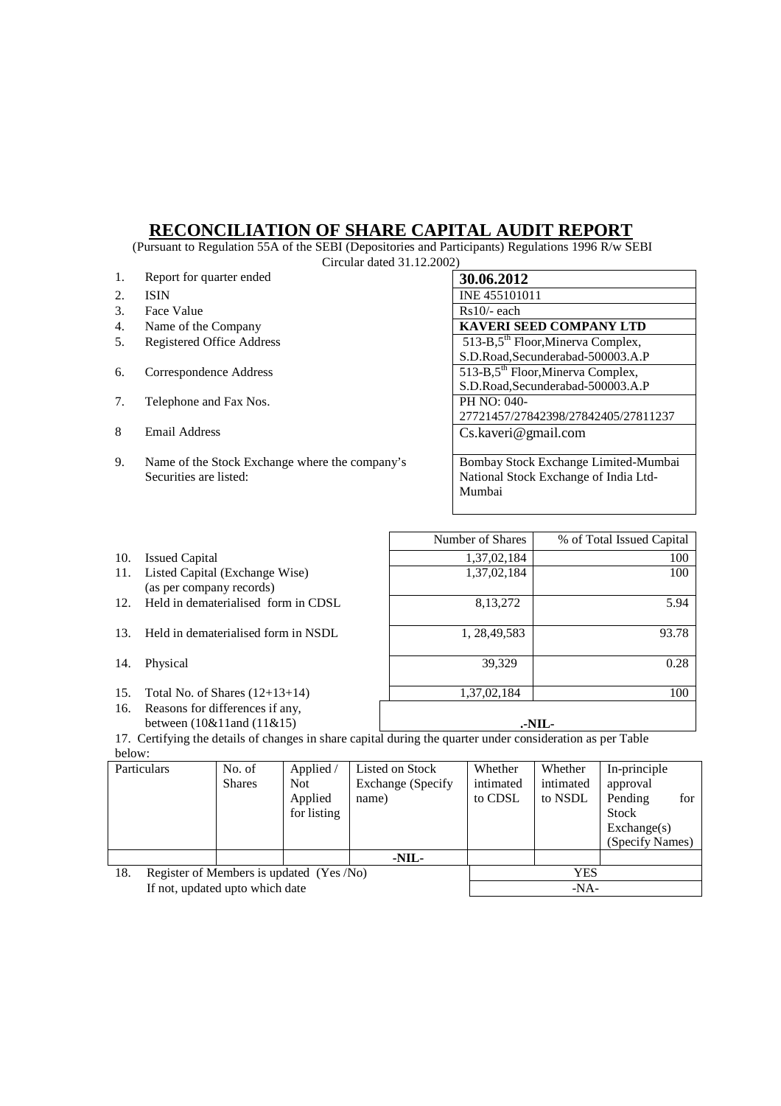## **RECONCILIATION OF SHARE CAPITAL AUDIT REPORT**

 (Pursuant to Regulation 55A of the SEBI (Depositories and Participants) Regulations 1996 R/w SEBI Circular dated 31.12.2002)

|    | CIICUIAI GALCU OTALAZIOLA                      |                                                 |  |  |  |  |  |  |
|----|------------------------------------------------|-------------------------------------------------|--|--|--|--|--|--|
| 1. | Report for quarter ended                       | 30.06.2012                                      |  |  |  |  |  |  |
| 2. | <b>ISIN</b>                                    | INE 455101011                                   |  |  |  |  |  |  |
| 3. | Face Value                                     | $Rs10/-$ each                                   |  |  |  |  |  |  |
| 4. | Name of the Company                            | <b>KAVERI SEED COMPANY LTD</b>                  |  |  |  |  |  |  |
| 5. | <b>Registered Office Address</b>               | 513-B,5 <sup>th</sup> Floor, Minerva Complex,   |  |  |  |  |  |  |
|    |                                                | S.D.Road, Secunderabad-500003.A.P               |  |  |  |  |  |  |
| 6. | Correspondence Address                         | $513-B,5$ <sup>th</sup> Floor, Minerva Complex, |  |  |  |  |  |  |
|    |                                                | S.D.Road, Secunderabad-500003.A.P               |  |  |  |  |  |  |
| 7. | Telephone and Fax Nos.                         | PH NO: 040-                                     |  |  |  |  |  |  |
|    |                                                | 27721457/27842398/27842405/27811237             |  |  |  |  |  |  |
| 8  | Email Address                                  | Cs.kaveri@gmail.com                             |  |  |  |  |  |  |
|    |                                                |                                                 |  |  |  |  |  |  |
| 9. | Name of the Stock Exchange where the company's | Bombay Stock Exchange Limited-Mumbai            |  |  |  |  |  |  |
|    | Securities are listed:                         | National Stock Exchange of India Ltd-           |  |  |  |  |  |  |
|    |                                                | Mumbai                                          |  |  |  |  |  |  |
|    |                                                |                                                 |  |  |  |  |  |  |

- 
- 11. Listed Capital (Exchange Wise) (as per company records)
- 
- 13. Held in dematerialised form in NSDL 1, 28,49,583
- 
- 
- 16. Reasons for differences if any, between (10&11and (11&15) **.-NIL-**

Number of Shares \, % of Total Issued Capital 10. Issued Capital 1,37,02,184 100 1,37,02,184 100 12. Held in dematerialised form in CDSL 8,13,272 5.94 93.78 14. Physical 39,329 0.28 15. Total No. of Shares (12+13+14) 1,37,02,184 1,37,02,184 100

17. Certifying the details of changes in share capital during the quarter under consideration as per Table below:

|                                 | Particulars                              | No. of<br><b>Shares</b> | Applied /<br>Not.<br>Applied<br>for listing | Listed on Stock<br>Exchange (Specify)<br>name) | Whether<br>intimated<br>to CDSL | Whether<br>intimated<br>to NSDL | In-principle<br>approval<br>for<br>Pending<br><b>Stock</b><br>$\text{Exchange}(s)$<br>(Specify Names) |
|---------------------------------|------------------------------------------|-------------------------|---------------------------------------------|------------------------------------------------|---------------------------------|---------------------------------|-------------------------------------------------------------------------------------------------------|
|                                 |                                          |                         |                                             | -NIL-                                          |                                 |                                 |                                                                                                       |
| 18.                             | Register of Members is updated (Yes /No) |                         |                                             |                                                | YES                             |                                 |                                                                                                       |
| If not, updated upto which date |                                          |                         |                                             |                                                | $-NA-$                          |                                 |                                                                                                       |